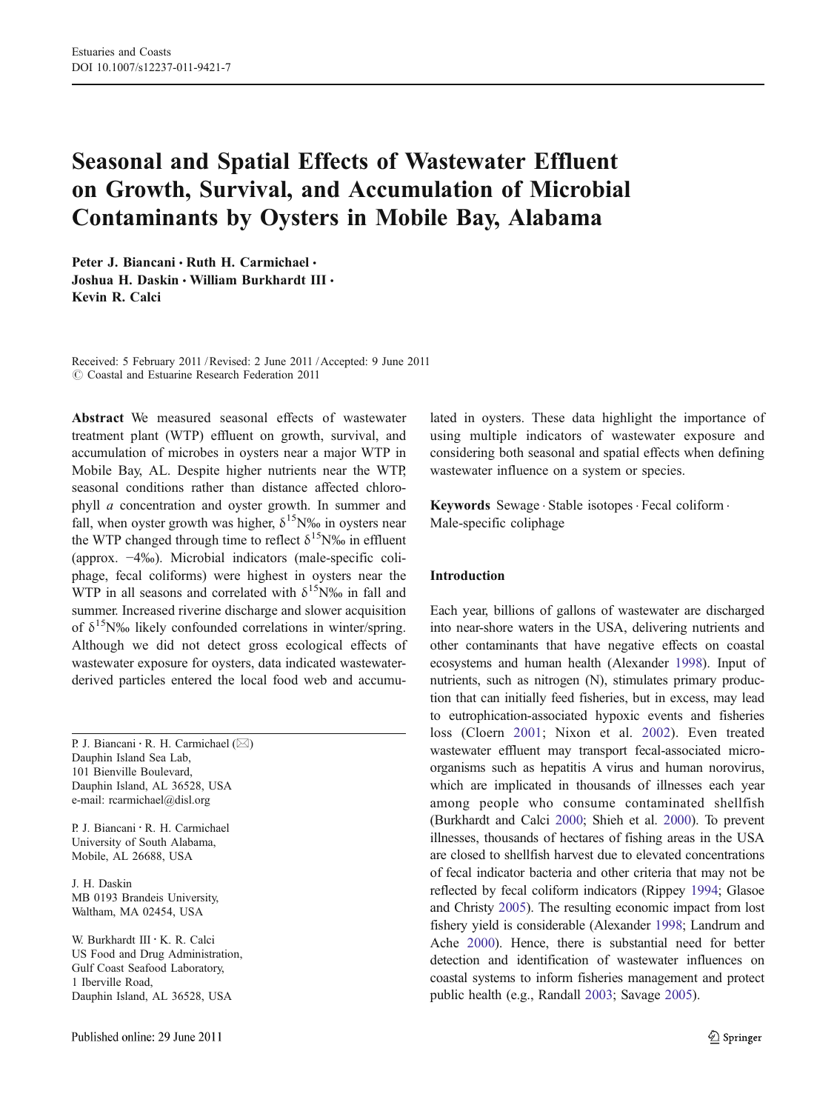# Seasonal and Spatial Effects of Wastewater Effluent on Growth, Survival, and Accumulation of Microbial Contaminants by Oysters in Mobile Bay, Alabama

Peter J. Biancani · Ruth H. Carmichael · Joshua H. Daskin & William Burkhardt III & Kevin R. Calci

Received: 5 February 2011 /Revised: 2 June 2011 /Accepted: 9 June 2011  $\circ$  Coastal and Estuarine Research Federation 2011

Abstract We measured seasonal effects of wastewater treatment plant (WTP) effluent on growth, survival, and accumulation of microbes in oysters near a major WTP in Mobile Bay, AL. Despite higher nutrients near the WTP, seasonal conditions rather than distance affected chlorophyll a concentration and oyster growth. In summer and fall, when oyster growth was higher,  $\delta^{15}N\%$  in oysters near the WTP changed through time to reflect  $\delta^{15}N\%$  in effluent (approx. −4‰). Microbial indicators (male-specific coliphage, fecal coliforms) were highest in oysters near the WTP in all seasons and correlated with  $\delta^{15}N\%$  in fall and summer. Increased riverine discharge and slower acquisition of  $\delta^{15}N\%$  likely confounded correlations in winter/spring. Although we did not detect gross ecological effects of wastewater exposure for oysters, data indicated wastewaterderived particles entered the local food web and accumu-

P. J. Biancani · R. H. Carmichael  $(\boxtimes)$ Dauphin Island Sea Lab, 101 Bienville Boulevard, Dauphin Island, AL 36528, USA e-mail: rcarmichael@disl.org

P. J. Biancani : R. H. Carmichael University of South Alabama, Mobile, AL 26688, USA

J. H. Daskin MB 0193 Brandeis University, Waltham, MA 02454, USA

W. Burkhardt III · K. R. Calci US Food and Drug Administration, Gulf Coast Seafood Laboratory, 1 Iberville Road, Dauphin Island, AL 36528, USA

lated in oysters. These data highlight the importance of using multiple indicators of wastewater exposure and considering both seasonal and spatial effects when defining wastewater influence on a system or species.

Keywords Sewage . Stable isotopes . Fecal coliform . Male-specific coliphage

# Introduction

Each year, billions of gallons of wastewater are discharged into near-shore waters in the USA, delivering nutrients and other contaminants that have negative effects on coastal ecosystems and human health (Alexander [1998\)](#page-9-0). Input of nutrients, such as nitrogen (N), stimulates primary production that can initially feed fisheries, but in excess, may lead to eutrophication-associated hypoxic events and fisheries loss (Cloern [2001;](#page-10-0) Nixon et al. [2002](#page-10-0)). Even treated wastewater effluent may transport fecal-associated microorganisms such as hepatitis A virus and human norovirus, which are implicated in thousands of illnesses each year among people who consume contaminated shellfish (Burkhardt and Calci [2000;](#page-10-0) Shieh et al. [2000\)](#page-10-0). To prevent illnesses, thousands of hectares of fishing areas in the USA are closed to shellfish harvest due to elevated concentrations of fecal indicator bacteria and other criteria that may not be reflected by fecal coliform indicators (Rippey [1994](#page-10-0); Glasoe and Christy [2005\)](#page-10-0). The resulting economic impact from lost fishery yield is considerable (Alexander [1998;](#page-9-0) Landrum and Ache [2000](#page-10-0)). Hence, there is substantial need for better detection and identification of wastewater influences on coastal systems to inform fisheries management and protect public health (e.g., Randall [2003](#page-10-0); Savage [2005\)](#page-10-0).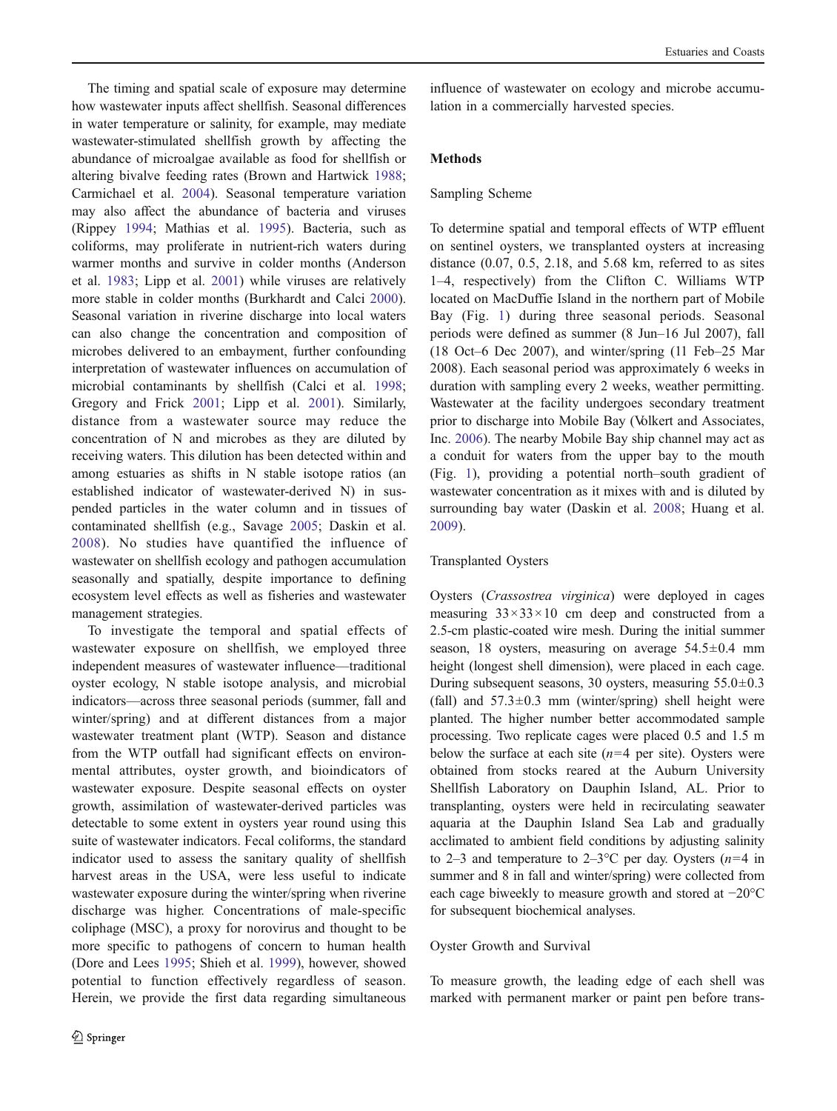The timing and spatial scale of exposure may determine how wastewater inputs affect shellfish. Seasonal differences in water temperature or salinity, for example, may mediate wastewater-stimulated shellfish growth by affecting the abundance of microalgae available as food for shellfish or altering bivalve feeding rates (Brown and Hartwick [1988](#page-10-0); Carmichael et al. [2004\)](#page-10-0). Seasonal temperature variation may also affect the abundance of bacteria and viruses (Rippey [1994;](#page-10-0) Mathias et al. [1995\)](#page-10-0). Bacteria, such as coliforms, may proliferate in nutrient-rich waters during warmer months and survive in colder months (Anderson et al. [1983;](#page-9-0) Lipp et al. [2001](#page-10-0)) while viruses are relatively more stable in colder months (Burkhardt and Calci [2000](#page-10-0)). Seasonal variation in riverine discharge into local waters can also change the concentration and composition of microbes delivered to an embayment, further confounding interpretation of wastewater influences on accumulation of microbial contaminants by shellfish (Calci et al. [1998](#page-10-0); Gregory and Frick [2001](#page-10-0); Lipp et al. [2001\)](#page-10-0). Similarly, distance from a wastewater source may reduce the concentration of N and microbes as they are diluted by receiving waters. This dilution has been detected within and among estuaries as shifts in N stable isotope ratios (an established indicator of wastewater-derived N) in suspended particles in the water column and in tissues of contaminated shellfish (e.g., Savage [2005;](#page-10-0) Daskin et al. [2008](#page-10-0)). No studies have quantified the influence of wastewater on shellfish ecology and pathogen accumulation seasonally and spatially, despite importance to defining ecosystem level effects as well as fisheries and wastewater management strategies.

To investigate the temporal and spatial effects of wastewater exposure on shellfish, we employed three independent measures of wastewater influence—traditional oyster ecology, N stable isotope analysis, and microbial indicators—across three seasonal periods (summer, fall and winter/spring) and at different distances from a major wastewater treatment plant (WTP). Season and distance from the WTP outfall had significant effects on environmental attributes, oyster growth, and bioindicators of wastewater exposure. Despite seasonal effects on oyster growth, assimilation of wastewater-derived particles was detectable to some extent in oysters year round using this suite of wastewater indicators. Fecal coliforms, the standard indicator used to assess the sanitary quality of shellfish harvest areas in the USA, were less useful to indicate wastewater exposure during the winter/spring when riverine discharge was higher. Concentrations of male-specific coliphage (MSC), a proxy for norovirus and thought to be more specific to pathogens of concern to human health (Dore and Lees [1995](#page-10-0); Shieh et al. [1999\)](#page-10-0), however, showed potential to function effectively regardless of season. Herein, we provide the first data regarding simultaneous

influence of wastewater on ecology and microbe accumulation in a commercially harvested species.

# Methods

# Sampling Scheme

To determine spatial and temporal effects of WTP effluent on sentinel oysters, we transplanted oysters at increasing distance  $(0.07, 0.5, 2.18,$  and  $5.68$  km, referred to as sites 1–4, respectively) from the Clifton C. Williams WTP located on MacDuffie Island in the northern part of Mobile Bay (Fig. [1\)](#page-2-0) during three seasonal periods. Seasonal periods were defined as summer (8 Jun–16 Jul 2007), fall (18 Oct–6 Dec 2007), and winter/spring (11 Feb–25 Mar 2008). Each seasonal period was approximately 6 weeks in duration with sampling every 2 weeks, weather permitting. Wastewater at the facility undergoes secondary treatment prior to discharge into Mobile Bay (Volkert and Associates, Inc. [2006\)](#page-10-0). The nearby Mobile Bay ship channel may act as a conduit for waters from the upper bay to the mouth (Fig. [1](#page-2-0)), providing a potential north–south gradient of wastewater concentration as it mixes with and is diluted by surrounding bay water (Daskin et al. [2008](#page-10-0); Huang et al. [2009](#page-10-0)).

## Transplanted Oysters

Oysters (Crassostrea virginica) were deployed in cages measuring  $33 \times 33 \times 10$  cm deep and constructed from a 2.5-cm plastic-coated wire mesh. During the initial summer season, 18 oysters, measuring on average  $54.5\pm0.4$  mm height (longest shell dimension), were placed in each cage. During subsequent seasons, 30 oysters, measuring  $55.0 \pm 0.3$ (fall) and  $57.3\pm0.3$  mm (winter/spring) shell height were planted. The higher number better accommodated sample processing. Two replicate cages were placed 0.5 and 1.5 m below the surface at each site  $(n=4$  per site). Oysters were obtained from stocks reared at the Auburn University Shellfish Laboratory on Dauphin Island, AL. Prior to transplanting, oysters were held in recirculating seawater aquaria at the Dauphin Island Sea Lab and gradually acclimated to ambient field conditions by adjusting salinity to 2–3 and temperature to 2–3 $\mathrm{^{\circ}C}$  per day. Oysters (*n*=4 in summer and 8 in fall and winter/spring) were collected from each cage biweekly to measure growth and stored at −20°C for subsequent biochemical analyses.

# Oyster Growth and Survival

To measure growth, the leading edge of each shell was marked with permanent marker or paint pen before trans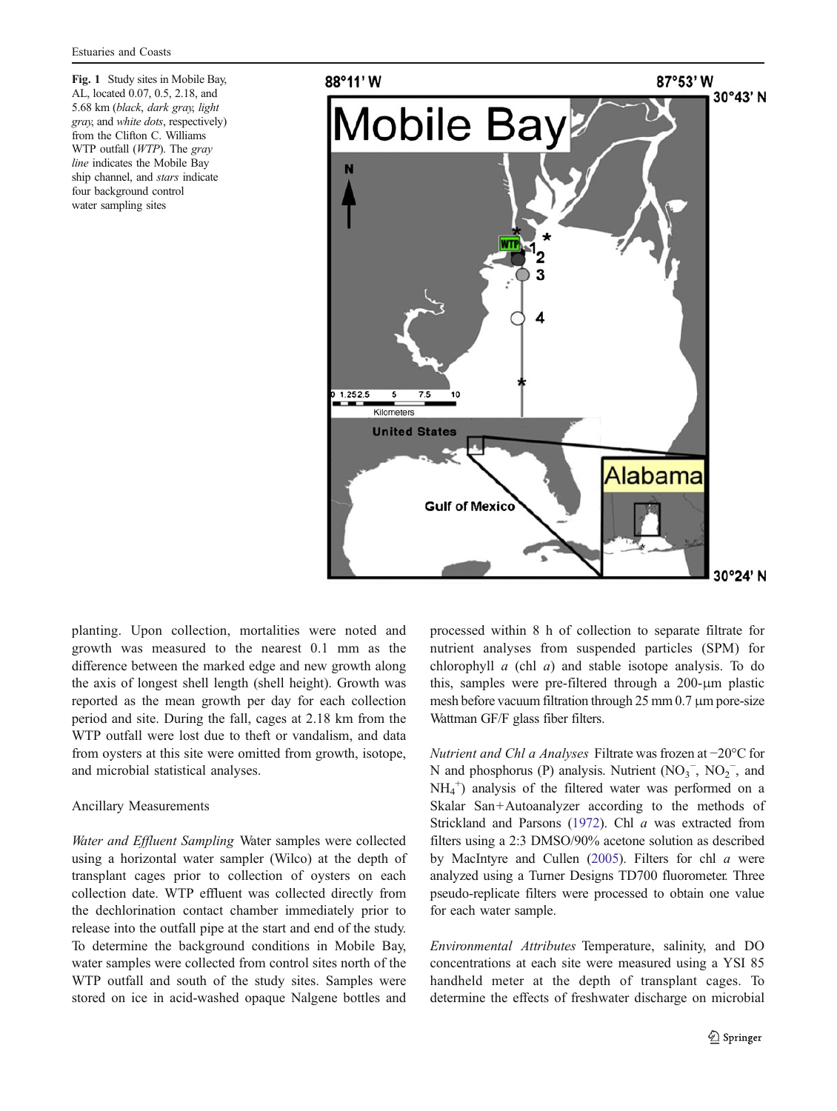<span id="page-2-0"></span>Fig. 1 Study sites in Mobile Bay, AL, located 0.07, 0.5, 2.18, and 5.68 km (black, dark gray, light gray, and white dots, respectively) from the Clifton C. Williams WTP outfall (WTP). The gray line indicates the Mobile Bay ship channel, and stars indicate four background control water sampling sites



planting. Upon collection, mortalities were noted and growth was measured to the nearest 0.1 mm as the difference between the marked edge and new growth along the axis of longest shell length (shell height). Growth was reported as the mean growth per day for each collection period and site. During the fall, cages at 2.18 km from the WTP outfall were lost due to theft or vandalism, and data from oysters at this site were omitted from growth, isotope, and microbial statistical analyses.

## Ancillary Measurements

Water and Effluent Sampling Water samples were collected using a horizontal water sampler (Wilco) at the depth of transplant cages prior to collection of oysters on each collection date. WTP effluent was collected directly from the dechlorination contact chamber immediately prior to release into the outfall pipe at the start and end of the study. To determine the background conditions in Mobile Bay, water samples were collected from control sites north of the WTP outfall and south of the study sites. Samples were stored on ice in acid-washed opaque Nalgene bottles and processed within 8 h of collection to separate filtrate for nutrient analyses from suspended particles (SPM) for chlorophyll a (chl a) and stable isotope analysis. To do this, samples were pre-filtered through a 200-μm plastic mesh before vacuum filtration through 25 mm 0.7 μm pore-size Wattman GF/F glass fiber filters.

Nutrient and Chl a Analyses Filtrate was frozen at −20°C for N and phosphorus (P) analysis. Nutrient  $(NO_3^-$ ,  $NO_2^-$ , and NH4 + ) analysis of the filtered water was performed on a Skalar San+Autoanalyzer according to the methods of Strickland and Parsons [\(1972\)](#page-10-0). Chl a was extracted from filters using a 2:3 DMSO/90% acetone solution as described by MacIntyre and Cullen  $(2005)$  $(2005)$  $(2005)$ . Filters for chl *a* were analyzed using a Turner Designs TD700 fluorometer. Three pseudo-replicate filters were processed to obtain one value for each water sample.

Environmental Attributes Temperature, salinity, and DO concentrations at each site were measured using a YSI 85 handheld meter at the depth of transplant cages. To determine the effects of freshwater discharge on microbial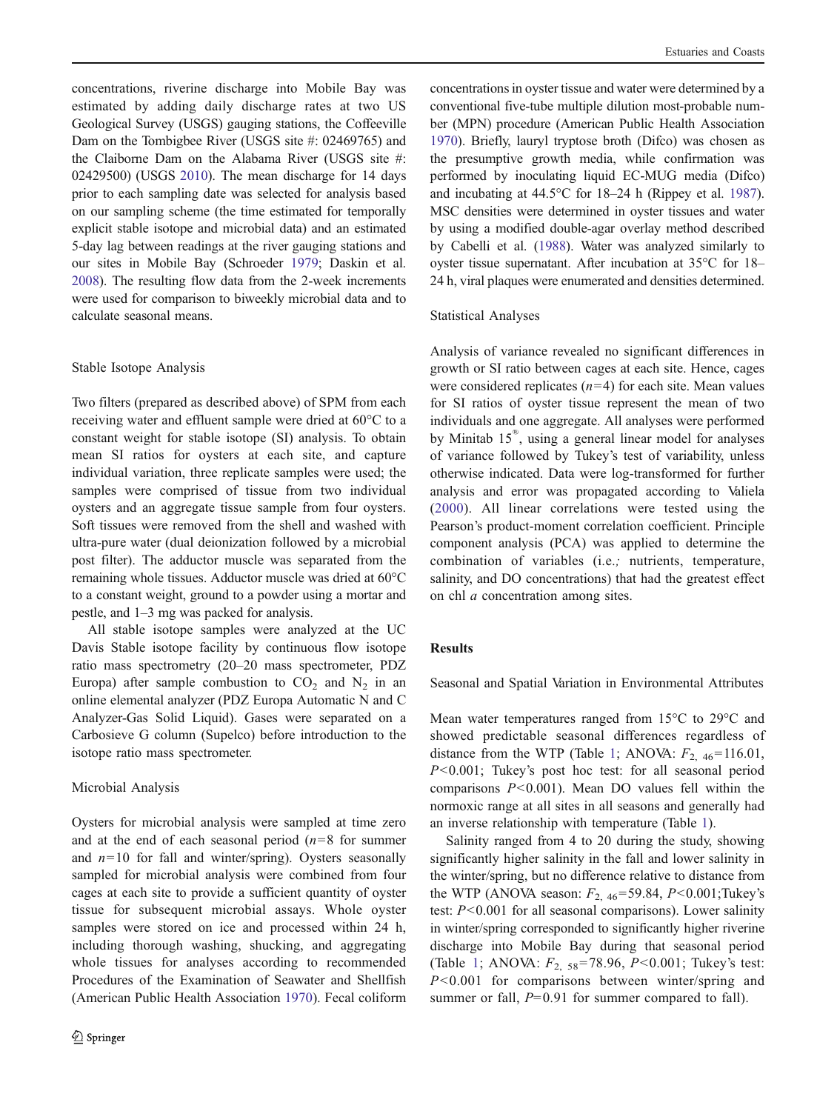concentrations, riverine discharge into Mobile Bay was estimated by adding daily discharge rates at two US Geological Survey (USGS) gauging stations, the Coffeeville Dam on the Tombigbee River (USGS site #: 02469765) and the Claiborne Dam on the Alabama River (USGS site #: 02429500) (USGS [2010\)](#page-10-0). The mean discharge for 14 days prior to each sampling date was selected for analysis based on our sampling scheme (the time estimated for temporally explicit stable isotope and microbial data) and an estimated 5-day lag between readings at the river gauging stations and our sites in Mobile Bay (Schroeder [1979;](#page-10-0) Daskin et al. [2008\)](#page-10-0). The resulting flow data from the 2-week increments were used for comparison to biweekly microbial data and to calculate seasonal means.

#### Stable Isotope Analysis

Two filters (prepared as described above) of SPM from each receiving water and effluent sample were dried at 60°C to a constant weight for stable isotope (SI) analysis. To obtain mean SI ratios for oysters at each site, and capture individual variation, three replicate samples were used; the samples were comprised of tissue from two individual oysters and an aggregate tissue sample from four oysters. Soft tissues were removed from the shell and washed with ultra-pure water (dual deionization followed by a microbial post filter). The adductor muscle was separated from the remaining whole tissues. Adductor muscle was dried at 60°C to a constant weight, ground to a powder using a mortar and pestle, and 1–3 mg was packed for analysis.

All stable isotope samples were analyzed at the UC Davis Stable isotope facility by continuous flow isotope ratio mass spectrometry (20–20 mass spectrometer, PDZ Europa) after sample combustion to  $CO<sub>2</sub>$  and  $N<sub>2</sub>$  in an online elemental analyzer (PDZ Europa Automatic N and C Analyzer-Gas Solid Liquid). Gases were separated on a Carbosieve G column (Supelco) before introduction to the isotope ratio mass spectrometer.

## Microbial Analysis

Oysters for microbial analysis were sampled at time zero and at the end of each seasonal period  $(n=8$  for summer and  $n=10$  for fall and winter/spring). Oysters seasonally sampled for microbial analysis were combined from four cages at each site to provide a sufficient quantity of oyster tissue for subsequent microbial assays. Whole oyster samples were stored on ice and processed within 24 h, including thorough washing, shucking, and aggregating whole tissues for analyses according to recommended Procedures of the Examination of Seawater and Shellfish (American Public Health Association [1970\)](#page-9-0). Fecal coliform concentrations in oyster tissue and water were determined by a conventional five-tube multiple dilution most-probable number (MPN) procedure (American Public Health Association [1970\)](#page-9-0). Briefly, lauryl tryptose broth (Difco) was chosen as the presumptive growth media, while confirmation was performed by inoculating liquid EC-MUG media (Difco) and incubating at 44.5°C for 18–24 h (Rippey et al. [1987\)](#page-10-0). MSC densities were determined in oyster tissues and water by using a modified double-agar overlay method described by Cabelli et al. [\(1988\)](#page-10-0). Water was analyzed similarly to oyster tissue supernatant. After incubation at 35°C for 18– 24 h, viral plaques were enumerated and densities determined.

#### Statistical Analyses

Analysis of variance revealed no significant differences in growth or SI ratio between cages at each site. Hence, cages were considered replicates  $(n=4)$  for each site. Mean values for SI ratios of oyster tissue represent the mean of two individuals and one aggregate. All analyses were performed by Minitab 15<sup>®</sup>, using a general linear model for analyses of variance followed by Tukey's test of variability, unless otherwise indicated. Data were log-transformed for further analysis and error was propagated according to Valiela ([2000](#page-10-0)). All linear correlations were tested using the Pearson's product-moment correlation coefficient. Principle component analysis (PCA) was applied to determine the combination of variables (i.e.; nutrients, temperature, salinity, and DO concentrations) that had the greatest effect on chl a concentration among sites.

## Results

Seasonal and Spatial Variation in Environmental Attributes

Mean water temperatures ranged from 15°C to 29°C and showed predictable seasonal differences regardless of distance from the WTP (Table [1;](#page-4-0) ANOVA:  $F_{2,46}$ =116.01, P<0.001; Tukey's post hoc test: for all seasonal period comparisons  $P<0.001$ ). Mean DO values fell within the normoxic range at all sites in all seasons and generally had an inverse relationship with temperature (Table [1](#page-4-0)).

Salinity ranged from 4 to 20 during the study, showing significantly higher salinity in the fall and lower salinity in the winter/spring, but no difference relative to distance from the WTP (ANOVA season:  $F_{2, 46} = 59.84, P < 0.001$ ;Tukey's test: P<0.001 for all seasonal comparisons). Lower salinity in winter/spring corresponded to significantly higher riverine discharge into Mobile Bay during that seasonal period (Table [1](#page-4-0); ANOVA:  $F_{2, 58}$ =78.96, P<0.001; Tukey's test: P<0.001 for comparisons between winter/spring and summer or fall,  $P=0.91$  for summer compared to fall).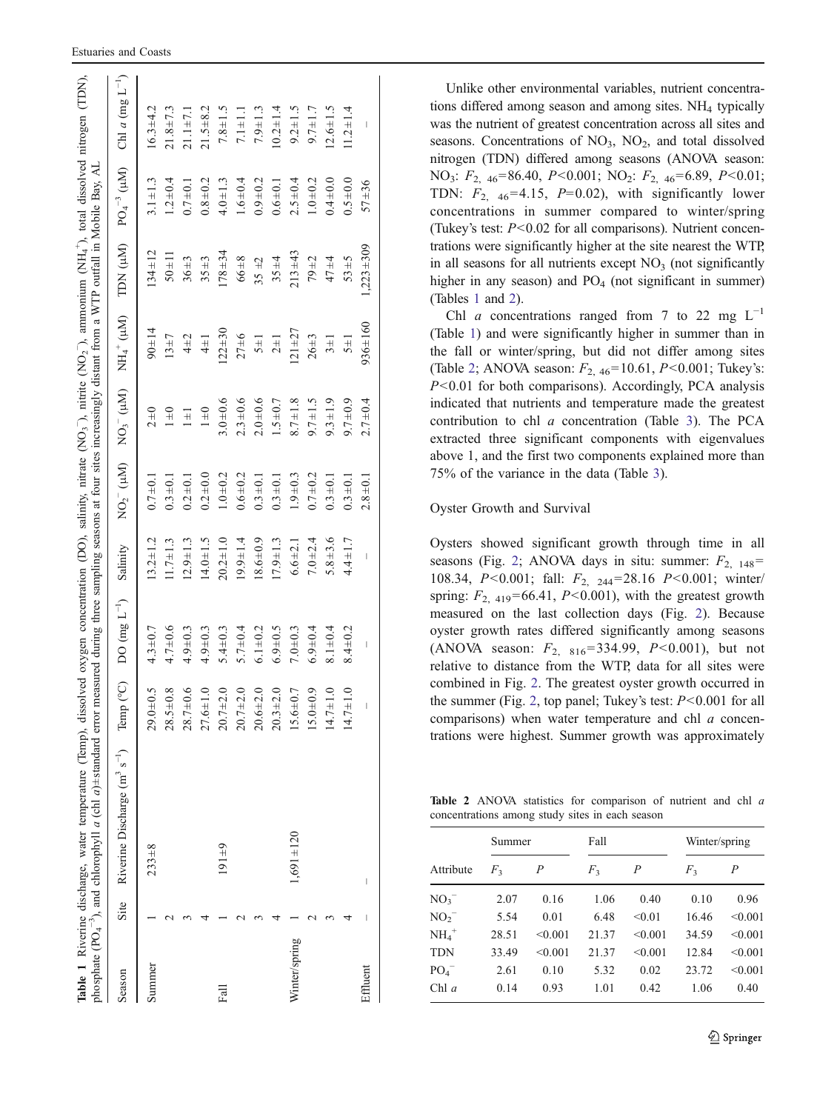<span id="page-4-0"></span>

|               | <b>Table 1</b> Riverine discharge, water temperature (Temp), dissolved oxygen concentration (DO), salinity, nitrate (NO <sub>3</sub> ), nitrite (NO <sub>2</sub> ), ammonium (NH <sub>4</sub> <sup>1</sup> ), total dissolved nitrogen (TDN),<br>phosphate (PO <sub>4</sub> <sup>-3</sup> ), and chlorophyll $a$ (chl $a$ ) $\pm$ standard error |                | measured during three sampling seasons at four sites increasingly distant from a WTP outfall in Mobile Bay, AL |                 |             |                                                              |               |               |                                   |                          |
|---------------|--------------------------------------------------------------------------------------------------------------------------------------------------------------------------------------------------------------------------------------------------------------------------------------------------------------------------------------------------|----------------|----------------------------------------------------------------------------------------------------------------|-----------------|-------------|--------------------------------------------------------------|---------------|---------------|-----------------------------------|--------------------------|
| Season        | Site Riverine Discharge (m <sup>3</sup> s <sup>-1</sup> ) Temp (°C) DO (mg L <sup>-1</sup> )                                                                                                                                                                                                                                                     |                |                                                                                                                | Salinity        |             | $NO2^-$ ( $\mu M$ ) $NO3^-$ ( $\mu MJ$ ) $NH4^+$ ( $\mu M$ ) |               |               | TDN $(\mu M)$ $PO_4^{-3} (\mu M)$ | Chl a (mg $L^{-1}$ )     |
| Summer        | $233 + 8$                                                                                                                                                                                                                                                                                                                                        | $29.0 \pm 0.5$ | $4.3 \pm 0.7$                                                                                                  | $13.2 \pm 1.2$  | $0.7 + 0.1$ | $2\pm0$                                                      | $90 \pm 14$   | $134 \pm 12$  | $3.1 \pm 1.3$                     | $16.3 + 4.2$             |
|               |                                                                                                                                                                                                                                                                                                                                                  | $28.5 + 0.8$   | $4.7 + 0.6$                                                                                                    | $11.7 \pm 1.3$  | $0.3 + 0.1$ | $\frac{1}{2}$                                                | $13 + 7$      | $50 + 11$     | $1.2 + 0.4$                       | $21.8 \pm 7.3$           |
|               |                                                                                                                                                                                                                                                                                                                                                  | $28.7 \pm 0.6$ | $4.9 \pm 0.3$                                                                                                  | $12.9 \pm 1.3$  | $0.2 + 0.1$ | $\equiv$                                                     | $4\pm2$       | $36 + 3$      | $0.7 + 0.1$                       | $21.1 \pm 7.1$           |
|               |                                                                                                                                                                                                                                                                                                                                                  | $27.6 + 1.0$   | $4.9 \pm 0.3$                                                                                                  | $(4.0 \pm 1.5)$ | $0.2 + 0.0$ | $1\pm 0$                                                     | $4\pm1$       | $35 + 3$      | $0.8 + 0.2$                       | $21.5 + 8.2$             |
| Fall          | $191 \pm 9$                                                                                                                                                                                                                                                                                                                                      | $20.7 + 2.0$   | $5.4 \pm 0.3$                                                                                                  | $20.2 + 1.0$    | $1.0 + 0.2$ | $3.0 + 0.6$                                                  | $122 + 30$    | $178 + 34$    | $4.0 + 1.3$                       | $7.8 \pm 1.5$            |
|               |                                                                                                                                                                                                                                                                                                                                                  | $20.7 + 2.0$   | $5.7 \pm 0.4$                                                                                                  | $19.9 \pm 1.4$  | $0.6 + 0.2$ | $2.3 \pm 0.6$                                                | $27 + 6$      | $66 + 8$      | $1.6 + 0.4$                       | $7.1 \pm 1.1$            |
|               |                                                                                                                                                                                                                                                                                                                                                  | $20.6 + 2.0$   | $6.1 \pm 0.2$                                                                                                  | $18.6 \pm 0.9$  | $0.3 + 0.1$ | $2.0 + 0.6$                                                  | $5 \pm 1$     | $35 \pm 2$    | $0.9 + 0.2$                       | $7.9 \pm 1.3$            |
|               |                                                                                                                                                                                                                                                                                                                                                  | $20.3 + 2.0$   | $6.9 \pm 0.5$                                                                                                  | $17.9 \pm 1.3$  | $0.3 + 0.1$ | $1.5 \pm 0.7$                                                | $2 + 1$       | $35 + 4$      | $0.6 + 0.1$                       | $10.2 \pm 1.4$           |
| Winter/spring | $1,691 \pm 120$                                                                                                                                                                                                                                                                                                                                  | $15.6 \pm 0.7$ | $7.0 + 0.3$                                                                                                    | $6.6 + 2.1$     | $1.9 + 0.3$ | $8.7 \pm 1.8$                                                | $121 + 27$    | $213 + 43$    | $2.5 \pm 0.4$                     | $9.2 \pm 1.5$            |
|               |                                                                                                                                                                                                                                                                                                                                                  | $15.0 \pm 0.9$ | $6.9 \pm 0.4$                                                                                                  | $7.0 + 2.4$     | $0.7 + 0.2$ | $9.7 \pm 1.5$                                                | $26 + 3$      | $79 + 2$      | $1.0 + 0.2$                       | $9.7 \pm 1.7$            |
|               |                                                                                                                                                                                                                                                                                                                                                  | $14.7 + 1.0$   | $8.1 \pm 0.4$                                                                                                  | $5.8 + 3.6$     | $0.3 + 0.1$ | $9.3 \pm 1.9$                                                | $3 \pm 1$     | $47 + 4$      | $0.4 + 0.0$                       | $12.6 \pm 1.5$           |
|               |                                                                                                                                                                                                                                                                                                                                                  | $14.7 + 1.0$   | $8.4 \pm 0.2$                                                                                                  | $4.4 \pm 1.7$   | $0.3 + 0.1$ | $9.7 \pm 0.9$                                                | $5\pm1$       | $53 + 5$      | $0.5 + 0.0$                       | $11.2 \pm 1.4$           |
| Effluent      | I                                                                                                                                                                                                                                                                                                                                                |                |                                                                                                                |                 | $2.8 + 0.1$ | $2.7 \pm 0.4$                                                | $936 \pm 160$ | $1,223 + 309$ | $57 + 36$                         | $\overline{\phantom{a}}$ |

Unlike other environmental variables, nutrient concentrations differed among season and among sites.  $NH<sub>4</sub>$  typically was the nutrient of greatest concentration across all sites and seasons. Concentrations of NO<sub>3</sub>, NO<sub>2</sub>, and total dissolved nitrogen (TDN) differed among seasons (ANOVA season: NO<sub>3</sub>:  $F_{2,46}$ =86.40, P<0.001; NO<sub>2</sub>:  $F_{2,46}$ =6.89, P<0.01; TDN:  $F_{2, 46} = 4.15$ ,  $P = 0.02$ ), with significantly lower concentrations in summer compared to winter/spring (Tukey 's test: P<0.02 for all comparisons). Nutrient concentrations were significantly higher at the site nearest the WTP, in all seasons for all nutrients except NO <sup>3</sup> (not significantly higher in any season) and PO<sub>4</sub> (not significant in summer) (Tables 1 and 2).

Chl *a* concentrations ranged from 7 to 22 mg  $L^{-1}$ (Table 1) and were significantly higher in summer than in the fall or winter/spring, but did not differ among sites (Table 2; ANOVA season:  $F_{2, 46} = 10.61, P < 0.001$ ; Tukey's: P<0.01 for both comparisons). Accordingly, PCA analysis indicated that nutrients and temperature made the greatest contribution to chl a concentration (Table [3](#page-5-0)). The PCA extracted three significant components with eigenvalues above 1, and the first two components explained more than 75% of the variance in the data (Table [3\)](#page-5-0).

## Oyster Growth and Survival

Oysters showed significant growth through time in all seasons (Fig. [2](#page-5-0); ANOVA days in situ: summer:  $F_{2, 148}$ = 108.34, P<0.001; fall:  $F_{2, 244} = 28.16$  P<0.001; winter/ spring:  $F_{2,419}$ =66.41,  $P<0.001$ ), with the greatest growth measured on the last collection days (Fig. [2\)](#page-5-0). Because oyster growth rates differed significantly among seasons (ANOVA season:  $F_{2, 816} = 334.99, P < 0.001$ ), but not relative to distance from the WTP, data for all sites were combined in Fig. [2.](#page-5-0) The greatest oyster growth occurred in the summer (Fig. [2,](#page-5-0) top panel; Tukey's test:  $P < 0.001$  for all comparisons) when water temperature and chl a concentrations were highest. Summer growth was approximately

Table 2 ANOVA statistics for comparison of nutrient and chl a concentrations among study sites in each season

|                   | Summer  |         | Fall    |         | Winter/spring |         |
|-------------------|---------|---------|---------|---------|---------------|---------|
| Attribute         | $F_{3}$ | Р       | $F_{3}$ | Р       | $F_{3}$       | Р       |
| $NO_3^-$          | 2.07    | 0.16    | 1.06    | 0.40    | 0.10          | 0.96    |
| $NO_2^-$          | 5.54    | 0.01    | 6.48    | < 0.01  | 16.46         | < 0.001 |
| $\mathrm{NH_4}^+$ | 28.51   | < 0.001 | 21.37   | < 0.001 | 34.59         | < 0.001 |
| <b>TDN</b>        | 33.49   | < 0.001 | 21.37   | < 0.001 | 12.84         | < 0.001 |
| $PO_4^-$          | 2.61    | 0.10    | 5.32    | 0.02    | 23.72         | < 0.001 |
| Chl a             | 0.14    | 0.93    | 1.01    | 0.42    | 1.06          | 0.40    |
|                   |         |         |         |         |               |         |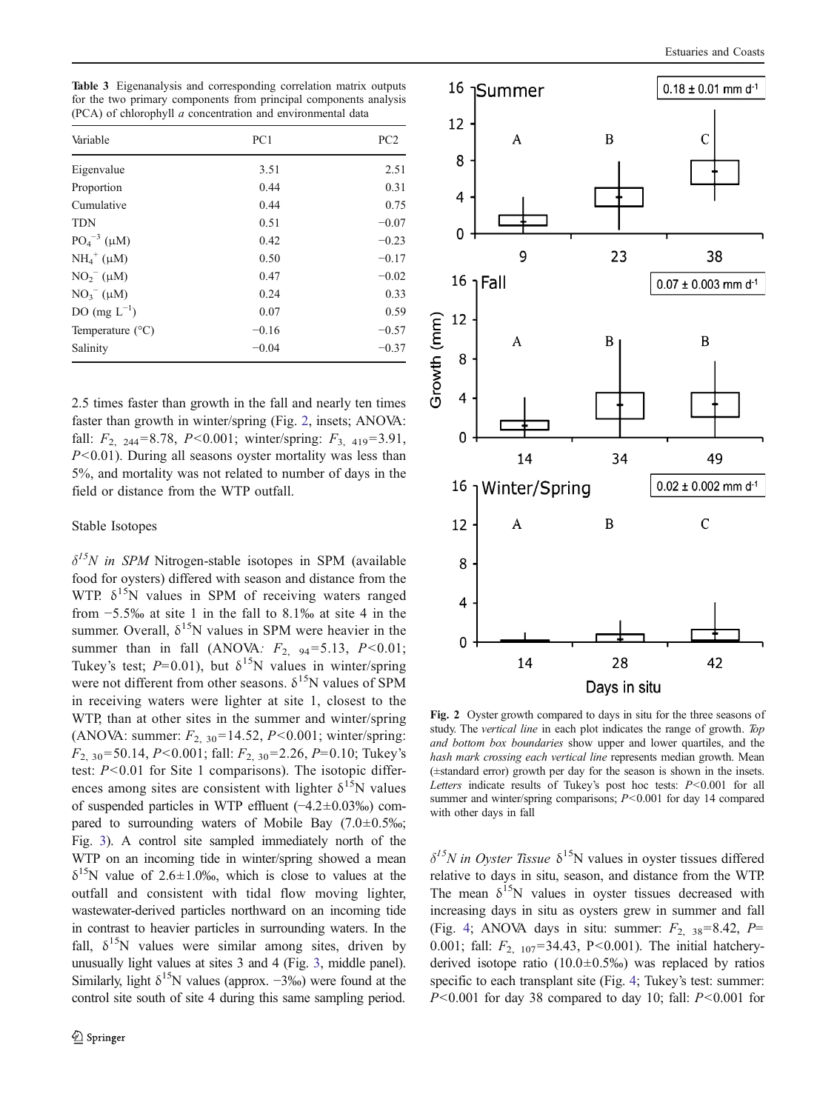<span id="page-5-0"></span>Table 3 Eigenanalysis and corresponding correlation matrix outputs for the two primary components from principal components analysis (PCA) of chlorophyll a concentration and environmental data

| Variable                  | PC1     | PC <sub>2</sub> |  |
|---------------------------|---------|-----------------|--|
| Eigenvalue                | 3.51    | 2.51            |  |
| Proportion                | 0.44    | 0.31            |  |
| Cumulative                | 0.44    | 0.75            |  |
| <b>TDN</b>                | 0.51    | $-0.07$         |  |
| $PO_4^{-3}$ ( $\mu$ M)    | 0.42    | $-0.23$         |  |
| $NH_4^+$ ( $\mu$ M)       | 0.50    | $-0.17$         |  |
| $NO2-$ ( $\mu$ M)         | 0.47    | $-0.02$         |  |
| $NO_3^- (\mu M)$          | 0.24    | 0.33            |  |
| DO $(mg L^{-1})$          | 0.07    | 0.59            |  |
| Temperature $(^{\circ}C)$ | $-0.16$ | $-0.57$         |  |
| Salinity                  | $-0.04$ | $-0.37$         |  |

2.5 times faster than growth in the fall and nearly ten times faster than growth in winter/spring (Fig. 2, insets; ANOVA: fall:  $F_{2, 244} = 8.78$ ,  $P < 0.001$ ; winter/spring:  $F_{3, 419} = 3.91$ ,  $P<0.01$ ). During all seasons oyster mortality was less than 5%, and mortality was not related to number of days in the field or distance from the WTP outfall.

# Stable Isotopes

 $\delta^{15}N$  in SPM Nitrogen-stable isotopes in SPM (available food for oysters) differed with season and distance from the WTP.  $\delta^{15}$ N values in SPM of receiving waters ranged from −5.5‰ at site 1 in the fall to 8.1‰ at site 4 in the summer. Overall,  $\delta^{15}N$  values in SPM were heavier in the summer than in fall (ANOVA:  $F_{2, 94} = 5.13$ ,  $P < 0.01$ ; Tukey's test;  $P=0.01$ ), but  $\delta^{15}N$  values in winter/spring were not different from other seasons.  $\delta^{15}N$  values of SPM in receiving waters were lighter at site 1, closest to the WTP, than at other sites in the summer and winter/spring (ANOVA: summer:  $F_{2, 30}$ =14.52, P<0.001; winter/spring:  $F_{2, 30}$ =50.14, P<0.001; fall:  $F_{2, 30}$ =2.26, P=0.10; Tukey's test:  $P < 0.01$  for Site 1 comparisons). The isotopic differences among sites are consistent with lighter  $\delta^{15}$ N values of suspended particles in WTP effluent (−4.2±0.03‰) compared to surrounding waters of Mobile Bay  $(7.0\pm0.5\%)$ ; Fig. [3\)](#page-6-0). A control site sampled immediately north of the WTP on an incoming tide in winter/spring showed a mean  $\delta^{15}$ N value of 2.6±1.0‰, which is close to values at the outfall and consistent with tidal flow moving lighter, wastewater-derived particles northward on an incoming tide in contrast to heavier particles in surrounding waters. In the fall,  $\delta^{15}$ N values were similar among sites, driven by unusually light values at sites 3 and 4 (Fig. [3,](#page-6-0) middle panel). Similarly, light  $\delta^{15}N$  values (approx.  $-3\%$ ) were found at the control site south of site 4 during this same sampling period.



Fig. 2 Oyster growth compared to days in situ for the three seasons of study. The vertical line in each plot indicates the range of growth. Top and bottom box boundaries show upper and lower quartiles, and the hash mark crossing each vertical line represents median growth. Mean (±standard error) growth per day for the season is shown in the insets. Letters indicate results of Tukey's post hoc tests:  $P < 0.001$  for all summer and winter/spring comparisons;  $P < 0.001$  for day 14 compared with other days in fall

 $\delta^{15}N$  in Oyster Tissue  $\delta^{15}N$  values in oyster tissues differed relative to days in situ, season, and distance from the WTP. The mean  $\delta^{15}N$  values in oyster tissues decreased with increasing days in situ as oysters grew in summer and fall (Fig. [4;](#page-6-0) ANOVA days in situ: summer:  $F_{2, 38} = 8.42$ ,  $P =$ 0.001; fall:  $F_{2, 107} = 34.43$ , P<0.001). The initial hatcheryderived isotope ratio  $(10.0\pm0.5\%)$  was replaced by ratios specific to each transplant site (Fig. [4](#page-6-0); Tukey's test: summer:  $P<0.001$  for day 38 compared to day 10; fall:  $P<0.001$  for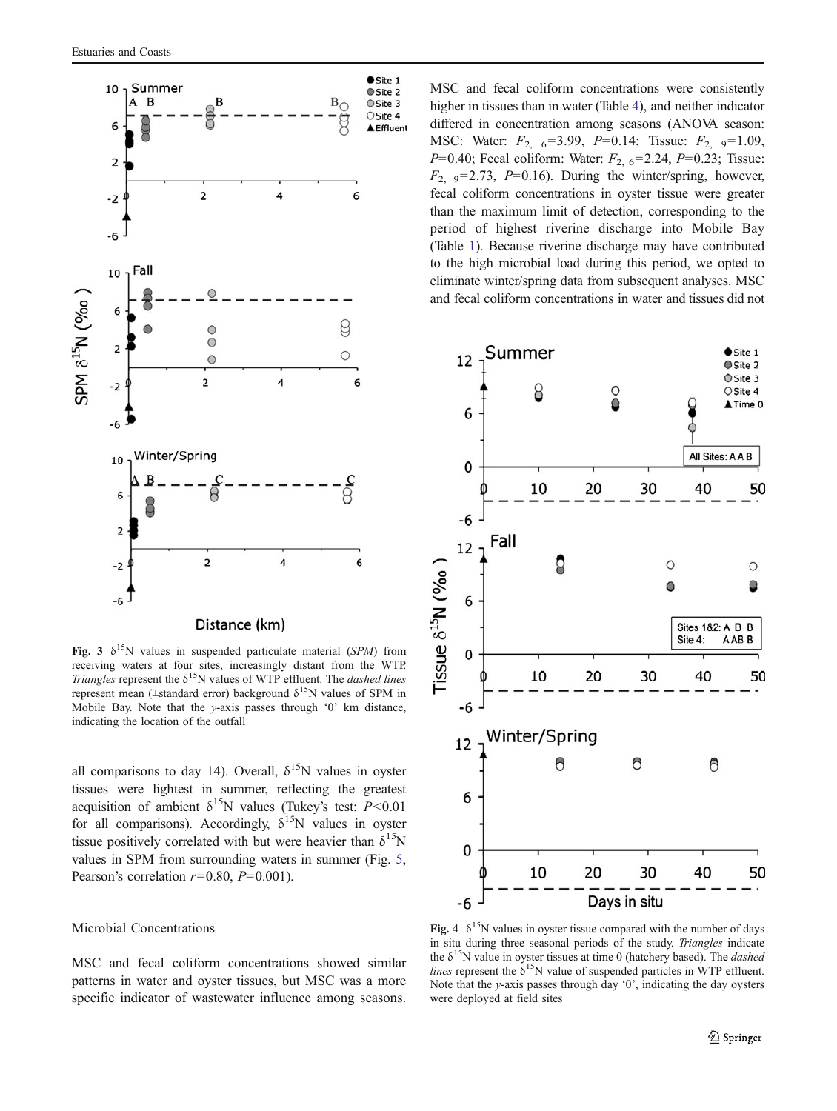<span id="page-6-0"></span>

Fig. 3  $\delta^{15}$ N values in suspended particulate material (SPM) from receiving waters at four sites, increasingly distant from the WTP. Triangles represent the  $\delta^{15}N$  values of WTP effluent. The dashed lines represent mean ( $\pm$ standard error) background  $\delta^{15}N$  values of SPM in Mobile Bay. Note that the y-axis passes through  $0'$  km distance, indicating the location of the outfall

all comparisons to day 14). Overall,  $\delta^{15}N$  values in oyster tissues were lightest in summer, reflecting the greatest acquisition of ambient  $\delta^{15}$ N values (Tukey's test:  $P < 0.01$ ) for all comparisons). Accordingly,  $\delta^{15}N$  values in oyster tissue positively correlated with but were heavier than  $\delta^{15}N$ values in SPM from surrounding waters in summer (Fig. [5,](#page-7-0) Pearson's correlation  $r=0.80$ ,  $P=0.001$ ).

#### Microbial Concentrations

MSC and fecal coliform concentrations showed similar patterns in water and oyster tissues, but MSC was a more specific indicator of wastewater influence among seasons.

MSC and fecal coliform concentrations were consistently higher in tissues than in water (Table [4\)](#page-7-0), and neither indicator differed in concentration among seasons (ANOVA season: MSC: Water:  $F_{2,6} = 3.99$ ,  $P = 0.14$ ; Tissue:  $F_{2,9} = 1.09$ ,  $P=0.40$ ; Fecal coliform: Water:  $F_{2, 6} = 2.24$ ,  $P=0.23$ ; Tissue:  $F_{2,9}$ =2.73, P=0.16). During the winter/spring, however, fecal coliform concentrations in oyster tissue were greater than the maximum limit of detection, corresponding to the period of highest riverine discharge into Mobile Bay (Table [1\)](#page-4-0). Because riverine discharge may have contributed to the high microbial load during this period, we opted to eliminate winter/spring data from subsequent analyses. MSC and fecal coliform concentrations in water and tissues did not



Fig. 4  $\delta^{15}$ N values in oyster tissue compared with the number of days in situ during three seasonal periods of the study. Triangles indicate the  $\delta^{15}$ N value in oyster tissues at time 0 (hatchery based). The *dashed lines* represent the  $\delta^{15}N$  value of suspended particles in WTP effluent. Note that the y-axis passes through day  $0$ ', indicating the day oysters were deployed at field sites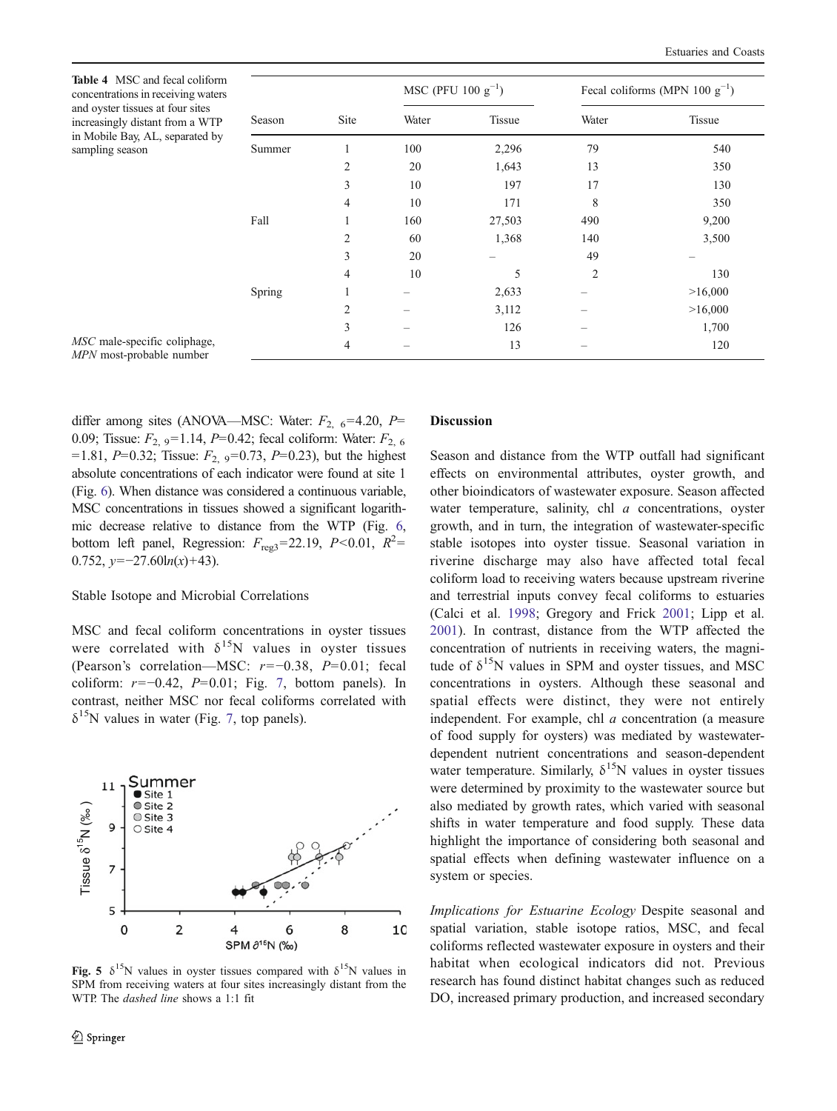<span id="page-7-0"></span>

| <b>Table 4</b> MSC and fecal coliform<br>concentrations in receiving waters |        |      | MSC (PFU 100 $g^{-1}$ ) |        | Fecal coliforms (MPN 100 $g^{-1}$ ) |         |
|-----------------------------------------------------------------------------|--------|------|-------------------------|--------|-------------------------------------|---------|
| and oyster tissues at four sites<br>increasingly distant from a WTP         | Season | Site | Water                   | Tissue | Water                               | Tissue  |
| in Mobile Bay, AL, separated by<br>sampling season                          | Summer |      | 100                     | 2,296  | 79                                  | 540     |
|                                                                             |        | 2    | 20                      | 1,643  | 13                                  | 350     |
|                                                                             |        | 3    | 10                      | 197    | 17                                  | 130     |
|                                                                             |        | 4    | 10                      | 171    | 8                                   | 350     |
|                                                                             | Fall   |      | 160                     | 27,503 | 490                                 | 9,200   |
|                                                                             |        | 2    | 60                      | 1,368  | 140                                 | 3,500   |
|                                                                             |        | 3    | 20                      |        | 49                                  |         |
|                                                                             |        | 4    | 10                      | 5      | 2                                   | 130     |
|                                                                             | Spring |      | -                       | 2,633  |                                     | >16,000 |
|                                                                             |        | 2    |                         | 3,112  |                                     | >16,000 |
|                                                                             |        | 3    |                         | 126    |                                     | 1,700   |
| MSC male-specific coliphage,<br>MPN most-probable number                    |        | 4    |                         | 13     |                                     | 120     |

differ among sites (ANOVA—MSC: Water:  $F_{2, 6}$ =4.20, P= 0.09; Tissue:  $F_2$ ,  $9=1.14$ ,  $P=0.42$ ; fecal coliform: Water:  $F_{2,6}$ =1.81, P=0.32; Tissue:  $F_2$ ,  $9=0.73$ , P=0.23), but the highest absolute concentrations of each indicator were found at site 1 (Fig. [6\)](#page-8-0). When distance was considered a continuous variable, MSC concentrations in tissues showed a significant logarithmic decrease relative to distance from the WTP (Fig. [6,](#page-8-0) bottom left panel, Regression:  $F_{\text{reg3}} = 22.19$ ,  $P < 0.01$ ,  $R^2 =$ 0.752,  $y=-27.60ln(x)+43$ .

## Stable Isotope and Microbial Correlations

MSC and fecal coliform concentrations in oyster tissues were correlated with  $\delta^{15}N$  values in oyster tissues (Pearson's correlation—MSC: r=−0.38, P=0.01; fecal coliform:  $r=-0.42$ ,  $P=0.01$ ; Fig. [7,](#page-8-0) bottom panels). In contrast, neither MSC nor fecal coliforms correlated with  $\delta^{15}$ N values in water (Fig. [7,](#page-8-0) top panels).



Fig. 5  $\delta^{15}N$  values in oyster tissues compared with  $\delta^{15}N$  values in SPM from receiving waters at four sites increasingly distant from the WTP. The dashed line shows a 1:1 fit

### Discussion

Season and distance from the WTP outfall had significant effects on environmental attributes, oyster growth, and other bioindicators of wastewater exposure. Season affected water temperature, salinity, chl *a* concentrations, oyster growth, and in turn, the integration of wastewater-specific stable isotopes into oyster tissue. Seasonal variation in riverine discharge may also have affected total fecal coliform load to receiving waters because upstream riverine and terrestrial inputs convey fecal coliforms to estuaries (Calci et al. [1998](#page-10-0); Gregory and Frick [2001;](#page-10-0) Lipp et al. [2001](#page-10-0)). In contrast, distance from the WTP affected the concentration of nutrients in receiving waters, the magnitude of  $\delta^{15}N$  values in SPM and oyster tissues, and MSC concentrations in oysters. Although these seasonal and spatial effects were distinct, they were not entirely independent. For example, chl a concentration (a measure of food supply for oysters) was mediated by wastewaterdependent nutrient concentrations and season-dependent water temperature. Similarly,  $\delta^{15}$ N values in oyster tissues were determined by proximity to the wastewater source but also mediated by growth rates, which varied with seasonal shifts in water temperature and food supply. These data highlight the importance of considering both seasonal and spatial effects when defining wastewater influence on a system or species.

Implications for Estuarine Ecology Despite seasonal and spatial variation, stable isotope ratios, MSC, and fecal coliforms reflected wastewater exposure in oysters and their habitat when ecological indicators did not. Previous research has found distinct habitat changes such as reduced DO, increased primary production, and increased secondary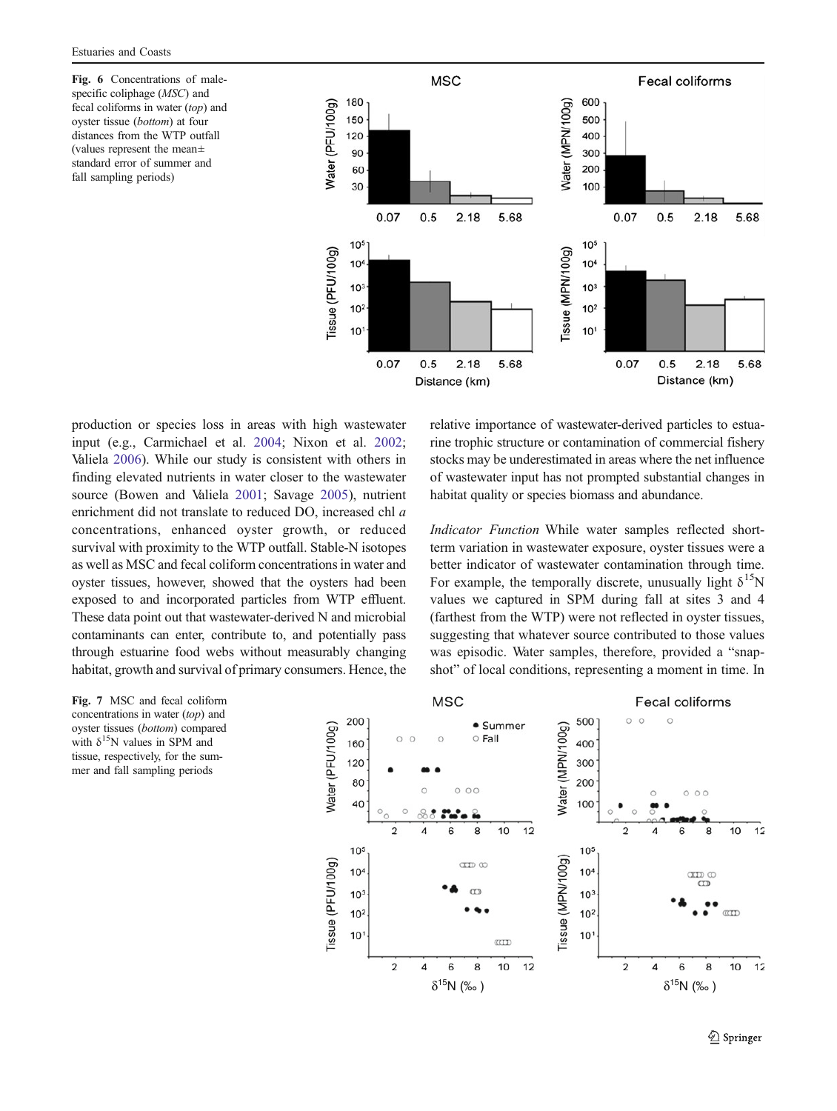<span id="page-8-0"></span>Fig. 6 Concentrations of malespecific coliphage (*MSC*) and fecal coliforms in water (top) and oyster tissue (bottom) at four distances from the WTP outfall (values represent the mean± standard error of summer and fall sampling periods)



production or species loss in areas with high wastewater input (e.g., Carmichael et al. [2004;](#page-10-0) Nixon et al. [2002](#page-10-0); Valiela [2006\)](#page-10-0). While our study is consistent with others in finding elevated nutrients in water closer to the wastewater source (Bowen and Valiela [2001](#page-9-0); Savage [2005](#page-10-0)), nutrient enrichment did not translate to reduced DO, increased chl a concentrations, enhanced oyster growth, or reduced survival with proximity to the WTP outfall. Stable-N isotopes as well as MSC and fecal coliform concentrations in water and oyster tissues, however, showed that the oysters had been exposed to and incorporated particles from WTP effluent. These data point out that wastewater-derived N and microbial contaminants can enter, contribute to, and potentially pass through estuarine food webs without measurably changing habitat, growth and survival of primary consumers. Hence, the relative importance of wastewater-derived particles to estuarine trophic structure or contamination of commercial fishery stocks may be underestimated in areas where the net influence of wastewater input has not prompted substantial changes in habitat quality or species biomass and abundance.

Indicator Function While water samples reflected shortterm variation in wastewater exposure, oyster tissues were a better indicator of wastewater contamination through time. For example, the temporally discrete, unusually light  $\delta^{15}N$ values we captured in SPM during fall at sites 3 and 4 (farthest from the WTP) were not reflected in oyster tissues, suggesting that whatever source contributed to those values was episodic. Water samples, therefore, provided a "snapshot" of local conditions, representing a moment in time. In

Fig. 7 MSC and fecal coliform concentrations in water (top) and oyster tissues (bottom) compared with  $\delta^{15}N$  values in SPM and tissue, respectively, for the summer and fall sampling periods

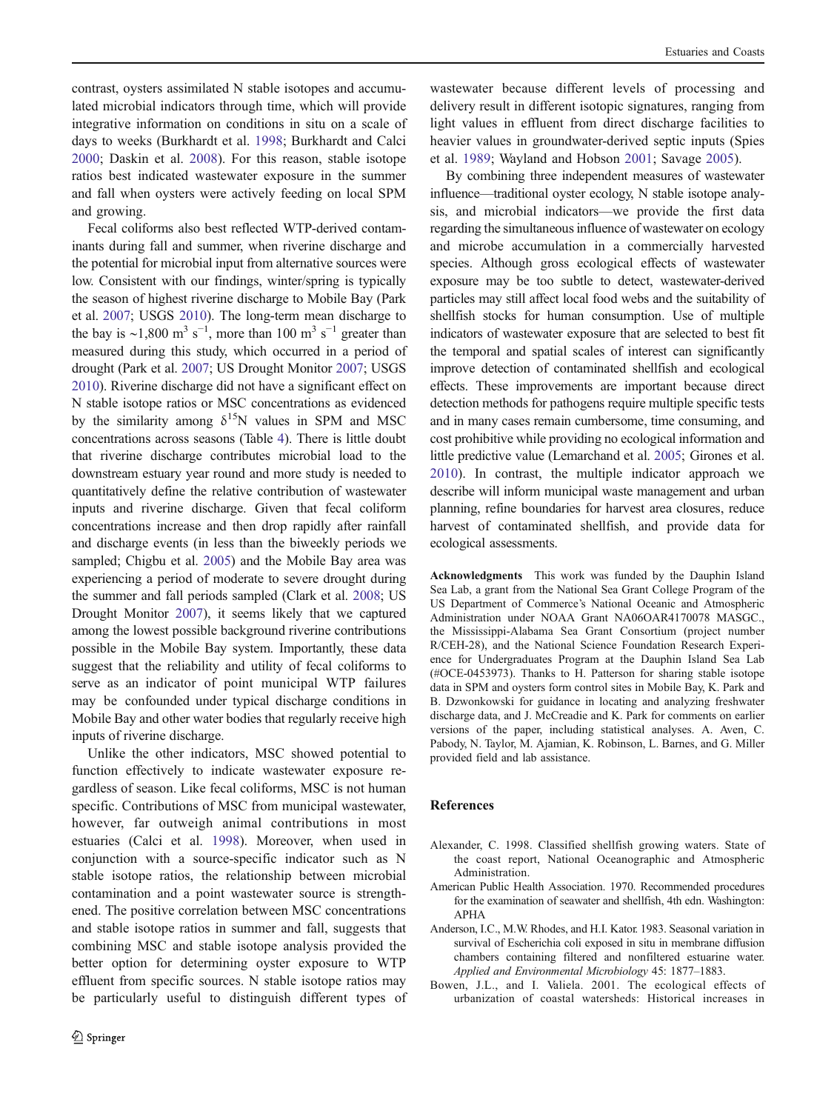<span id="page-9-0"></span>contrast, oysters assimilated N stable isotopes and accumulated microbial indicators through time, which will provide integrative information on conditions in situ on a scale of days to weeks (Burkhardt et al. [1998](#page-10-0); Burkhardt and Calci [2000;](#page-10-0) Daskin et al. [2008\)](#page-10-0). For this reason, stable isotope ratios best indicated wastewater exposure in the summer and fall when oysters were actively feeding on local SPM and growing.

Fecal coliforms also best reflected WTP-derived contaminants during fall and summer, when riverine discharge and the potential for microbial input from alternative sources were low. Consistent with our findings, winter/spring is typically the season of highest riverine discharge to Mobile Bay (Park et al. [2007;](#page-10-0) USGS [2010](#page-10-0)). The long-term mean discharge to the bay is ~1,800 m<sup>3</sup> s<sup>-1</sup>, more than 100 m<sup>3</sup> s<sup>-1</sup> greater than measured during this study, which occurred in a period of drought (Park et al. [2007;](#page-10-0) US Drought Monitor [2007;](#page-10-0) USGS [2010\)](#page-10-0). Riverine discharge did not have a significant effect on N stable isotope ratios or MSC concentrations as evidenced by the similarity among  $\delta^{15}N$  values in SPM and MSC concentrations across seasons (Table [4](#page-7-0)). There is little doubt that riverine discharge contributes microbial load to the downstream estuary year round and more study is needed to quantitatively define the relative contribution of wastewater inputs and riverine discharge. Given that fecal coliform concentrations increase and then drop rapidly after rainfall and discharge events (in less than the biweekly periods we sampled; Chigbu et al. [2005](#page-10-0)) and the Mobile Bay area was experiencing a period of moderate to severe drought during the summer and fall periods sampled (Clark et al. [2008;](#page-10-0) US Drought Monitor [2007\)](#page-10-0), it seems likely that we captured among the lowest possible background riverine contributions possible in the Mobile Bay system. Importantly, these data suggest that the reliability and utility of fecal coliforms to serve as an indicator of point municipal WTP failures may be confounded under typical discharge conditions in Mobile Bay and other water bodies that regularly receive high inputs of riverine discharge.

Unlike the other indicators, MSC showed potential to function effectively to indicate wastewater exposure regardless of season. Like fecal coliforms, MSC is not human specific. Contributions of MSC from municipal wastewater, however, far outweigh animal contributions in most estuaries (Calci et al. [1998\)](#page-10-0). Moreover, when used in conjunction with a source-specific indicator such as N stable isotope ratios, the relationship between microbial contamination and a point wastewater source is strengthened. The positive correlation between MSC concentrations and stable isotope ratios in summer and fall, suggests that combining MSC and stable isotope analysis provided the better option for determining oyster exposure to WTP effluent from specific sources. N stable isotope ratios may be particularly useful to distinguish different types of

wastewater because different levels of processing and delivery result in different isotopic signatures, ranging from light values in effluent from direct discharge facilities to heavier values in groundwater-derived septic inputs (Spies et al. [1989](#page-10-0); Wayland and Hobson [2001;](#page-10-0) Savage [2005\)](#page-10-0).

By combining three independent measures of wastewater influence—traditional oyster ecology, N stable isotope analysis, and microbial indicators—we provide the first data regarding the simultaneous influence of wastewater on ecology and microbe accumulation in a commercially harvested species. Although gross ecological effects of wastewater exposure may be too subtle to detect, wastewater-derived particles may still affect local food webs and the suitability of shellfish stocks for human consumption. Use of multiple indicators of wastewater exposure that are selected to best fit the temporal and spatial scales of interest can significantly improve detection of contaminated shellfish and ecological effects. These improvements are important because direct detection methods for pathogens require multiple specific tests and in many cases remain cumbersome, time consuming, and cost prohibitive while providing no ecological information and little predictive value (Lemarchand et al. [2005](#page-10-0); Girones et al. [2010\)](#page-10-0). In contrast, the multiple indicator approach we describe will inform municipal waste management and urban planning, refine boundaries for harvest area closures, reduce harvest of contaminated shellfish, and provide data for ecological assessments.

Acknowledgments This work was funded by the Dauphin Island Sea Lab, a grant from the National Sea Grant College Program of the US Department of Commerce's National Oceanic and Atmospheric Administration under NOAA Grant NA06OAR4170078 MASGC., the Mississippi-Alabama Sea Grant Consortium (project number R/CEH-28), and the National Science Foundation Research Experience for Undergraduates Program at the Dauphin Island Sea Lab (#OCE-0453973). Thanks to H. Patterson for sharing stable isotope data in SPM and oysters form control sites in Mobile Bay, K. Park and B. Dzwonkowski for guidance in locating and analyzing freshwater discharge data, and J. McCreadie and K. Park for comments on earlier versions of the paper, including statistical analyses. A. Aven, C. Pabody, N. Taylor, M. Ajamian, K. Robinson, L. Barnes, and G. Miller provided field and lab assistance.

### References

- Alexander, C. 1998. Classified shellfish growing waters. State of the coast report, National Oceanographic and Atmospheric Administration.
- American Public Health Association. 1970. Recommended procedures for the examination of seawater and shellfish, 4th edn. Washington: APHA
- Anderson, I.C., M.W. Rhodes, and H.I. Kator. 1983. Seasonal variation in survival of Escherichia coli exposed in situ in membrane diffusion chambers containing filtered and nonfiltered estuarine water. Applied and Environmental Microbiology 45: 1877–1883.
- Bowen, J.L., and I. Valiela. 2001. The ecological effects of urbanization of coastal watersheds: Historical increases in